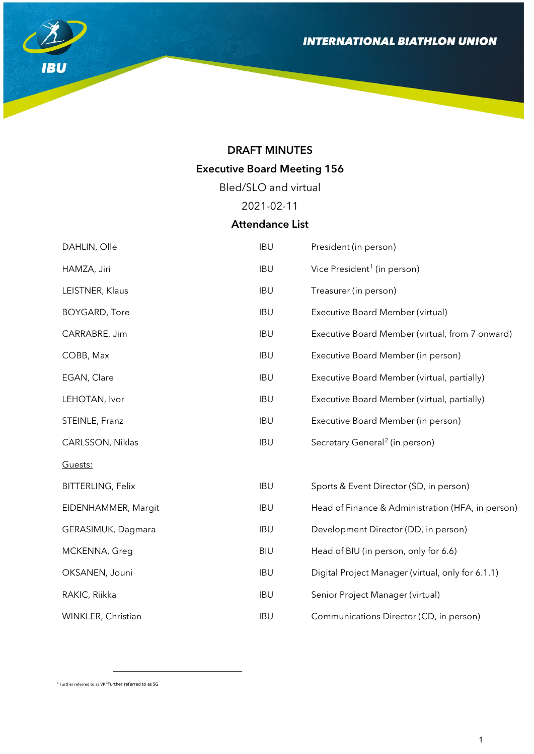

## DRAFT MINUTES

# Executive Board Meeting 156

Bled/SLO and virtual

2021-02-11

# Attendance List

| DAHLIN, Olle             | <b>IBU</b> | President (in person)                             |
|--------------------------|------------|---------------------------------------------------|
| HAMZA, Jiri              | <b>IBU</b> | Vice President <sup>1</sup> (in person)           |
| LEISTNER, Klaus          | <b>IBU</b> | Treasurer (in person)                             |
| <b>BOYGARD, Tore</b>     | <b>IBU</b> | Executive Board Member (virtual)                  |
| CARRABRE, Jim            | <b>IBU</b> | Executive Board Member (virtual, from 7 onward)   |
| COBB, Max                | <b>IBU</b> | Executive Board Member (in person)                |
| EGAN, Clare              | <b>IBU</b> | Executive Board Member (virtual, partially)       |
| LEHOTAN, Ivor            | <b>IBU</b> | Executive Board Member (virtual, partially)       |
| STEINLE, Franz           | <b>IBU</b> | Executive Board Member (in person)                |
| CARLSSON, Niklas         | <b>IBU</b> | Secretary General <sup>2</sup> (in person)        |
| Guests:                  |            |                                                   |
| <b>BITTERLING, Felix</b> | <b>IBU</b> | Sports & Event Director (SD, in person)           |
| EIDENHAMMER, Margit      | <b>IBU</b> | Head of Finance & Administration (HFA, in person) |
| GERASIMUK, Dagmara       | <b>IBU</b> | Development Director (DD, in person)              |
| MCKENNA, Greg            | <b>BIU</b> | Head of BIU (in person, only for 6.6)             |
| OKSANEN, Jouni           | <b>IBU</b> | Digital Project Manager (virtual, only for 6.1.1) |
| RAKIC, Riikka            | <b>IBU</b> | Senior Project Manager (virtual)                  |
| WINKLER, Christian       | <b>IBU</b> | Communications Director (CD, in person)           |

<span id="page-0-1"></span><span id="page-0-0"></span><sup>1</sup> Further referred to as VP <sup>2</sup> Further referred to as SG

 $\overline{a}$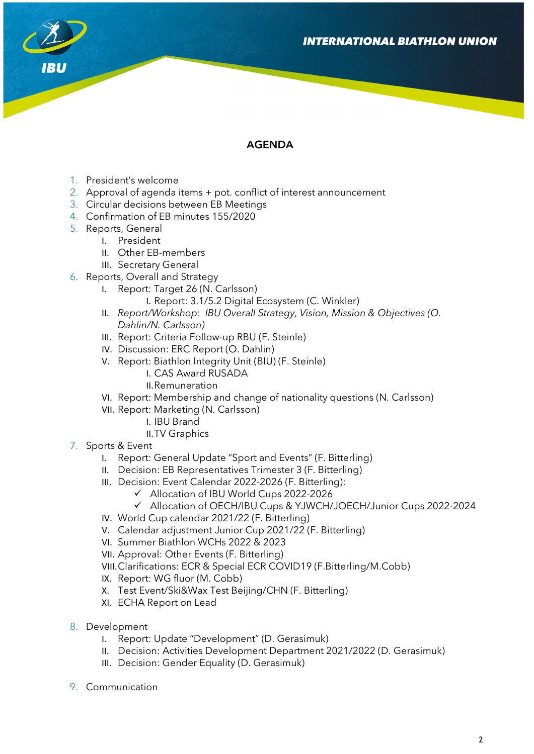

## AGENDA

- 1. President's welcome
- 2. Approval of agenda items + pot. conflict of interest announcement
- 3. Circular decisions between EB Meetings
- 4. Confirmation of EB minutes 155/2020
- 5. Reports, General
	- I. President
		- II. Other EB-members
		- III. Secretary General
- 6. Reports, Overall and Strategy
	- I. Report: Target 26 (N. Carlsson)
		- I. Report: 3.1/5.2 Digital Ecosystem (C. Winkler)
	- II. *Report/Workshop: IBU Overall Strategy, Vision, Mission & Objectives (O. Dahlin/N. Carlsson)*
	- III. Report: Criteria Follow-up RBU (F. Steinle)
	- IV. Discussion: ERC Report (O. Dahlin)
	- V. Report: Biathlon Integrity Unit (BIU) (F. Steinle)
		- I. CAS Award RUSADA
			- II.Remuneration
	- VI. Report: Membership and change of nationality questions (N. Carlsson)
	- VII. Report: Marketing (N. Carlsson)
		- I. IBU Brand
		- II.TV Graphics
- 7. Sports & Event
	- I. Report: General Update "Sport and Events" (F. Bitterling)
	- II. Decision: EB Representatives Trimester 3 (F. Bitterling)
	- III. Decision: Event Calendar 2022-2026 (F. Bitterling):
		- Allocation of IBU World Cups 2022-2026
			- Allocation of OECH/IBU Cups & YJWCH/JOECH/Junior Cups 2022-2024
	- IV. World Cup calendar 2021/22 (F. Bitterling)
	- V. Calendar adjustment Junior Cup 2021/22 (F. Bitterling)
	- VI. Summer Biathlon WCHs 2022 & 2023
	- VII. Approval: Other Events (F. Bitterling)
	- VIII.Clarifications: ECR & Special ECR COVID19 (F.Bitterling/M.Cobb)
	- IX. Report: WG fluor (M. Cobb)
	- X. Test Event/Ski&Wax Test Beijing/CHN (F. Bitterling)
	- XI. ECHA Report on Lead
- 8. Development
	- I. Report: Update "Development" (D. Gerasimuk)
	- II. Decision: Activities Development Department 2021/2022 (D. Gerasimuk)
	- III. Decision: Gender Equality (D. Gerasimuk)
- 9. Communication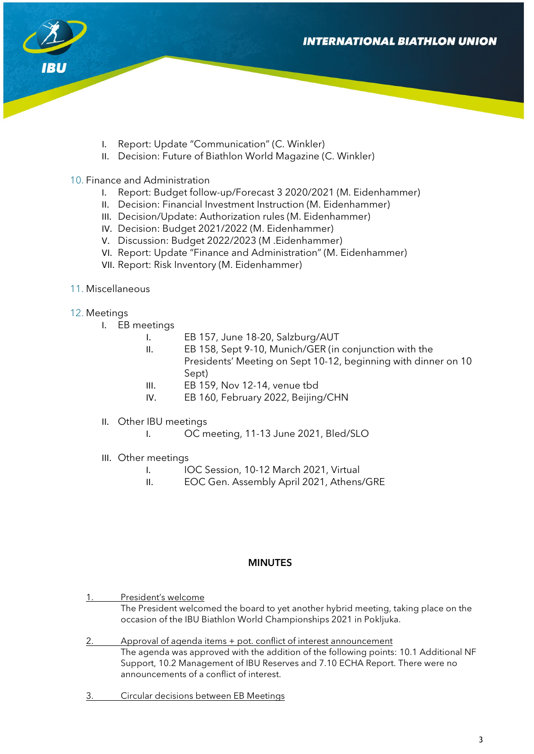

- I. Report: Update "Communication" (C. Winkler)
- II. Decision: Future of Biathlon World Magazine (C. Winkler)
- 10. Finance and Administration
	- I. Report: Budget follow-up/Forecast 3 2020/2021 (M. Eidenhammer)
	- II. Decision: Financial Investment Instruction (M. Eidenhammer)
	- III. Decision/Update: Authorization rules (M. Eidenhammer)
	- IV. Decision: Budget 2021/2022 (M. Eidenhammer)
	- V. Discussion: Budget 2022/2023 (M .Eidenhammer)
	- VI. Report: Update "Finance and Administration" (M. Eidenhammer)
	- VII. Report: Risk Inventory (M. Eidenhammer)
- 11. Miscellaneous
- 12. Meetings
	- I. EB meetings
		- I. EB 157, June 18-20, Salzburg/AUT
		- II. EB 158, Sept 9-10, Munich/GER (in conjunction with the Presidents' Meeting on Sept 10-12, beginning with dinner on 10 Sept)
		- III. EB 159, Nov 12-14, venue tbd
		- IV. EB 160, February 2022, Beijing/CHN
	- II. Other IBU meetings
		- I. OC meeting, 11-13 June 2021, Bled/SLO
	- III. Other meetings
		- I. IOC Session, 10-12 March 2021, Virtual
		- II. EOC Gen. Assembly April 2021, Athens/GRE

#### MINUTES

- 1. President's welcome The President welcomed the board to yet another hybrid meeting, taking place on the occasion of the IBU Biathlon World Championships 2021 in Pokljuka.
- 2. Approval of agenda items + pot. conflict of interest announcement The agenda was approved with the addition of the following points: 10.1 Additional NF Support, 10.2 Management of IBU Reserves and 7.10 ECHA Report. There were no announcements of a conflict of interest.
- 3. Circular decisions between EB Meetings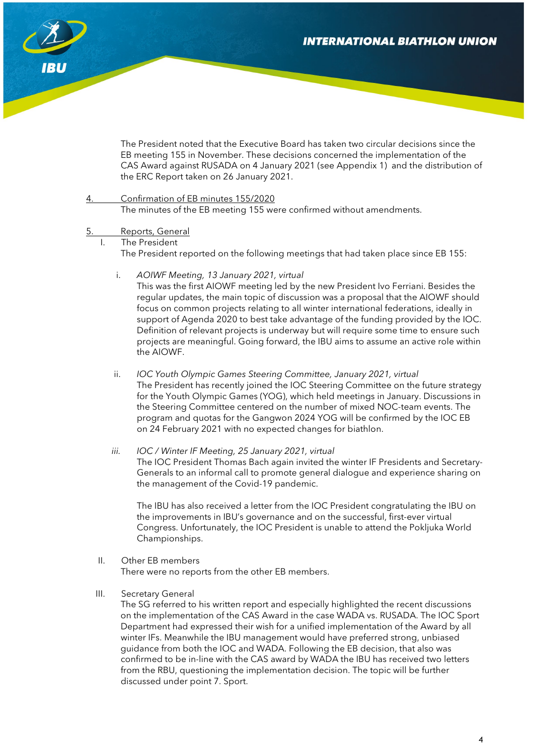

The President noted that the Executive Board has taken two circular decisions since the EB meeting 155 in November. These decisions concerned the implementation of the CAS Award against RUSADA on 4 January 2021 (see Appendix 1) and the distribution of the ERC Report taken on 26 January 2021.

- 4. Confirmation of EB minutes 155/2020 The minutes of the EB meeting 155 were confirmed without amendments.
- Reports, General
	- I. The President

The President reported on the following meetings that had taken place since EB 155:

i. *AOIWF Meeting, 13 January 2021, virtual*

This was the first AIOWF meeting led by the new President Ivo Ferriani. Besides the regular updates, the main topic of discussion was a proposal that the AIOWF should focus on common projects relating to all winter international federations, ideally in support of Agenda 2020 to best take advantage of the funding provided by the IOC. Definition of relevant projects is underway but will require some time to ensure such projects are meaningful. Going forward, the IBU aims to assume an active role within the AIOWF.

- ii. *IOC Youth Olympic Games Steering Committee, January 2021, virtual* The President has recently joined the IOC Steering Committee on the future strategy for the Youth Olympic Games (YOG), which held meetings in January. Discussions in the Steering Committee centered on the number of mixed NOC-team events. The program and quotas for the Gangwon 2024 YOG will be confirmed by the IOC EB on 24 February 2021 with no expected changes for biathlon.
- *iii. IOC / Winter IF Meeting, 25 January 2021, virtual* The IOC President Thomas Bach again invited the winter IF Presidents and Secretary-Generals to an informal call to promote general dialogue and experience sharing on the management of the Covid-19 pandemic.

The IBU has also received a letter from the IOC President congratulating the IBU on the improvements in IBU's governance and on the successful, first-ever virtual Congress. Unfortunately, the IOC President is unable to attend the Pokljuka World Championships.

- II. Other EB members There were no reports from the other EB members.
- III. Secretary General

The SG referred to his written report and especially highlighted the recent discussions on the implementation of the CAS Award in the case WADA vs. RUSADA. The IOC Sport Department had expressed their wish for a unified implementation of the Award by all winter IFs. Meanwhile the IBU management would have preferred strong, unbiased guidance from both the IOC and WADA. Following the EB decision, that also was confirmed to be in-line with the CAS award by WADA the IBU has received two letters from the RBU, questioning the implementation decision. The topic will be further discussed under point 7. Sport.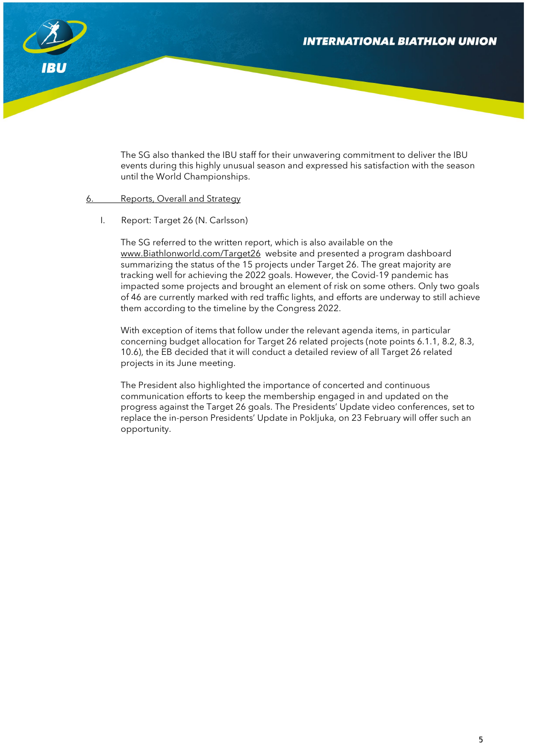

The SG also thanked the IBU staff for their unwavering commitment to deliver the IBU events during this highly unusual season and expressed his satisfaction with the season until the World Championships.

#### 6. Reports, Overall and Strategy

I. Report: Target 26 (N. Carlsson)

The SG referred to the written report, which is also available on the [www.Biathlonworld.com/Target26](http://www.biathlonworld.com/Target26) website and presented a program dashboard summarizing the status of the 15 projects under Target 26. The great majority are tracking well for achieving the 2022 goals. However, the Covid-19 pandemic has impacted some projects and brought an element of risk on some others. Only two goals of 46 are currently marked with red traffic lights, and efforts are underway to still achieve them according to the timeline by the Congress 2022.

With exception of items that follow under the relevant agenda items, in particular concerning budget allocation for Target 26 related projects (note points 6.1.1, 8.2, 8.3, 10.6), the EB decided that it will conduct a detailed review of all Target 26 related projects in its June meeting.

The President also highlighted the importance of concerted and continuous communication efforts to keep the membership engaged in and updated on the progress against the Target 26 goals. The Presidents' Update video conferences, set to replace the in-person Presidents' Update in Pokljuka, on 23 February will offer such an opportunity.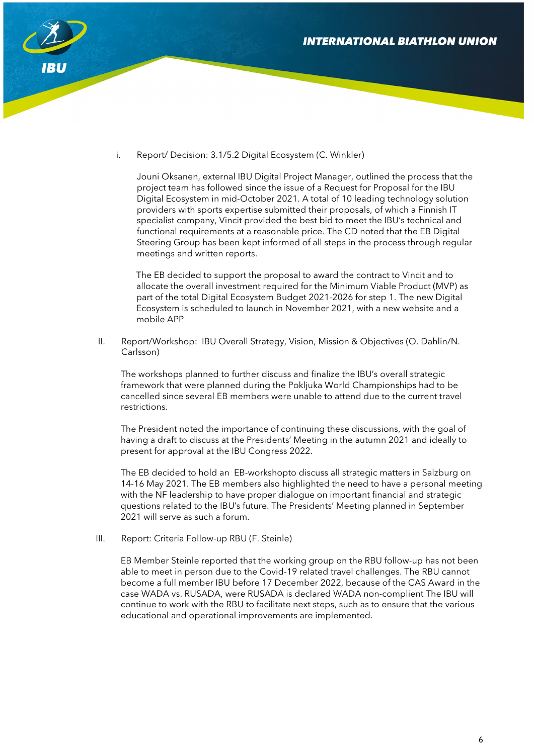

i. Report/ Decision: 3.1/5.2 Digital Ecosystem (C. Winkler)

Jouni Oksanen, external IBU Digital Project Manager, outlined the process that the project team has followed since the issue of a Request for Proposal for the IBU Digital Ecosystem in mid-October 2021. A total of 10 leading technology solution providers with sports expertise submitted their proposals, of which a Finnish IT specialist company, Vincit provided the best bid to meet the IBU's technical and functional requirements at a reasonable price. The CD noted that the EB Digital Steering Group has been kept informed of all steps in the process through regular meetings and written reports.

The EB decided to support the proposal to award the contract to Vincit and to allocate the overall investment required for the Minimum Viable Product (MVP) as part of the total Digital Ecosystem Budget 2021-2026 for step 1. The new Digital Ecosystem is scheduled to launch in November 2021, with a new website and a mobile APP

II. Report/Workshop: IBU Overall Strategy, Vision, Mission & Objectives (O. Dahlin/N. Carlsson)

The workshops planned to further discuss and finalize the IBU's overall strategic framework that were planned during the Pokljuka World Championships had to be cancelled since several EB members were unable to attend due to the current travel restrictions.

The President noted the importance of continuing these discussions, with the goal of having a draft to discuss at the Presidents' Meeting in the autumn 2021 and ideally to present for approval at the IBU Congress 2022.

The EB decided to hold an EB-workshopto discuss all strategic matters in Salzburg on 14-16 May 2021. The EB members also highlighted the need to have a personal meeting with the NF leadership to have proper dialogue on important financial and strategic questions related to the IBU's future. The Presidents' Meeting planned in September 2021 will serve as such a forum.

III. Report: Criteria Follow-up RBU (F. Steinle)

EB Member Steinle reported that the working group on the RBU follow-up has not been able to meet in person due to the Covid-19 related travel challenges. The RBU cannot become a full member IBU before 17 December 2022, because of the CAS Award in the case WADA vs. RUSADA, were RUSADA is declared WADA non-complient The IBU will continue to work with the RBU to facilitate next steps, such as to ensure that the various educational and operational improvements are implemented.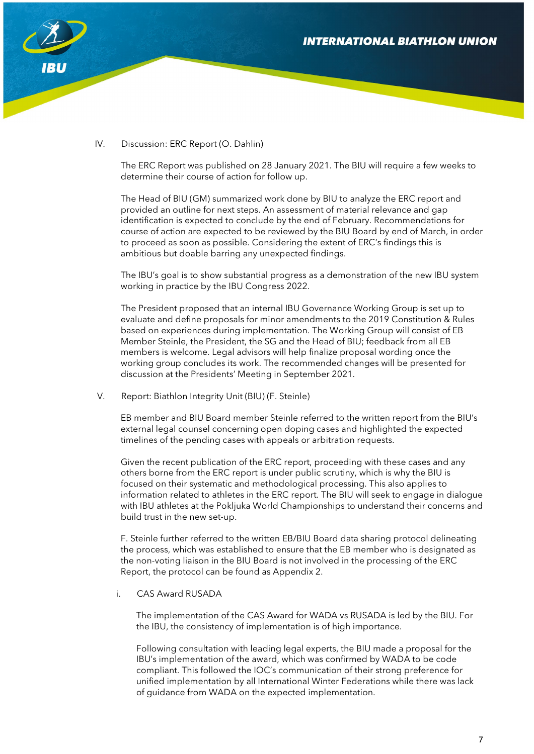

### IV. Discussion: ERC Report (O. Dahlin)

The ERC Report was published on 28 January 2021. The BIU will require a few weeks to determine their course of action for follow up.

The Head of BIU (GM) summarized work done by BIU to analyze the ERC report and provided an outline for next steps. An assessment of material relevance and gap identification is expected to conclude by the end of February. Recommendations for course of action are expected to be reviewed by the BIU Board by end of March, in order to proceed as soon as possible. Considering the extent of ERC's findings this is ambitious but doable barring any unexpected findings.

The IBU's goal is to show substantial progress as a demonstration of the new IBU system working in practice by the IBU Congress 2022.

The President proposed that an internal IBU Governance Working Group is set up to evaluate and define proposals for minor amendments to the 2019 Constitution & Rules based on experiences during implementation. The Working Group will consist of EB Member Steinle, the President, the SG and the Head of BIU; feedback from all EB members is welcome. Legal advisors will help finalize proposal wording once the working group concludes its work. The recommended changes will be presented for discussion at the Presidents' Meeting in September 2021.

V. Report: Biathlon Integrity Unit (BIU) (F. Steinle)

EB member and BIU Board member Steinle referred to the written report from the BIU's external legal counsel concerning open doping cases and highlighted the expected timelines of the pending cases with appeals or arbitration requests.

Given the recent publication of the ERC report, proceeding with these cases and any others borne from the ERC report is under public scrutiny, which is why the BIU is focused on their systematic and methodological processing. This also applies to information related to athletes in the ERC report. The BIU will seek to engage in dialogue with IBU athletes at the Pokljuka World Championships to understand their concerns and build trust in the new set-up.

F. Steinle further referred to the written EB/BIU Board data sharing protocol delineating the process, which was established to ensure that the EB member who is designated as the non-voting liaison in the BIU Board is not involved in the processing of the ERC Report, the protocol can be found as Appendix 2.

i. CAS Award RUSADA

The implementation of the CAS Award for WADA vs RUSADA is led by the BIU. For the IBU, the consistency of implementation is of high importance.

Following consultation with leading legal experts, the BIU made a proposal for the IBU's implementation of the award, which was confirmed by WADA to be code compliant. This followed the IOC's communication of their strong preference for unified implementation by all International Winter Federations while there was lack of guidance from WADA on the expected implementation.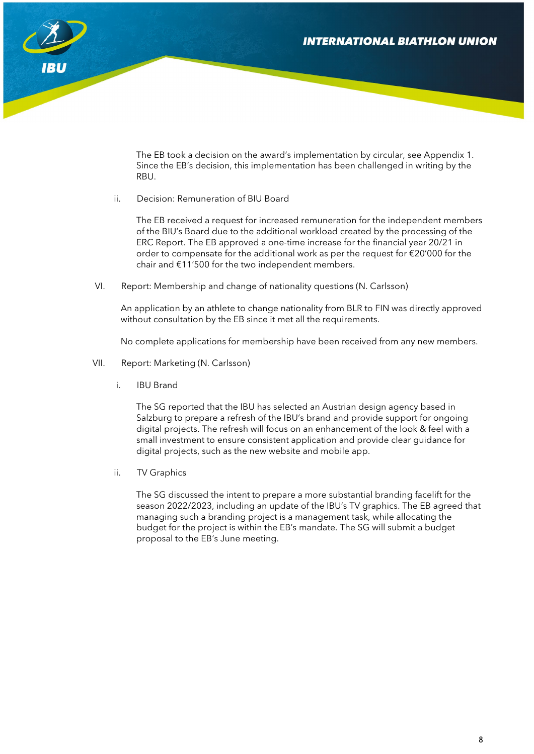

The EB took a decision on the award's implementation by circular, see Appendix 1. Since the EB's decision, this implementation has been challenged in writing by the RBU.

ii. Decision: Remuneration of BIU Board

The EB received a request for increased remuneration for the independent members of the BIU's Board due to the additional workload created by the processing of the ERC Report. The EB approved a one-time increase for the financial year 20/21 in order to compensate for the additional work as per the request for €20'000 for the chair and €11'500 for the two independent members.

VI. Report: Membership and change of nationality questions (N. Carlsson)

An application by an athlete to change nationality from BLR to FIN was directly approved without consultation by the EB since it met all the requirements.

No complete applications for membership have been received from any new members.

- VII. Report: Marketing (N. Carlsson)
	- i. IBU Brand

The SG reported that the IBU has selected an Austrian design agency based in Salzburg to prepare a refresh of the IBU's brand and provide support for ongoing digital projects. The refresh will focus on an enhancement of the look & feel with a small investment to ensure consistent application and provide clear guidance for digital projects, such as the new website and mobile app.

ii. TV Graphics

The SG discussed the intent to prepare a more substantial branding facelift for the season 2022/2023, including an update of the IBU's TV graphics. The EB agreed that managing such a branding project is a management task, while allocating the budget for the project is within the EB's mandate. The SG will submit a budget proposal to the EB's June meeting.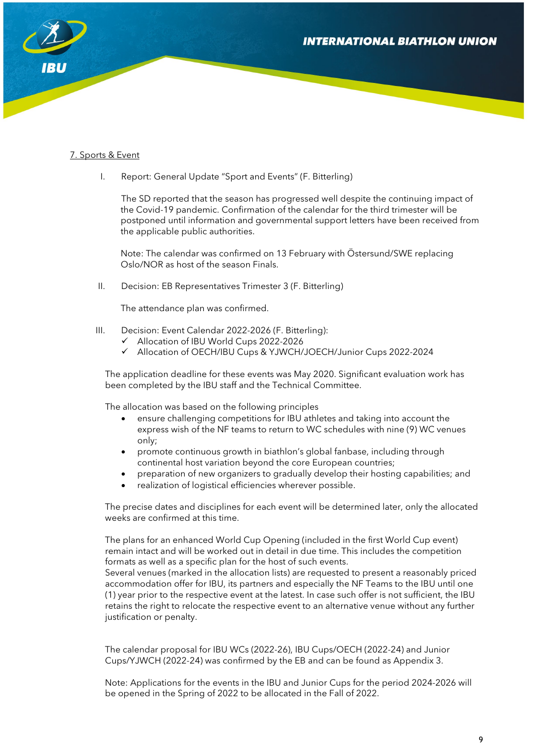

### 7. Sports & Event

I. Report: General Update "Sport and Events" (F. Bitterling)

The SD reported that the season has progressed well despite the continuing impact of the Covid-19 pandemic. Confirmation of the calendar for the third trimester will be postponed until information and governmental support letters have been received from the applicable public authorities.

Note: The calendar was confirmed on 13 February with Östersund/SWE replacing Oslo/NOR as host of the season Finals.

II. Decision: EB Representatives Trimester 3 (F. Bitterling)

The attendance plan was confirmed.

- III. Decision: Event Calendar 2022-2026 (F. Bitterling):
	- Allocation of IBU World Cups 2022-2026
	- Allocation of OECH/IBU Cups & YJWCH/JOECH/Junior Cups 2022-2024

The application deadline for these events was May 2020. Significant evaluation work has been completed by the IBU staff and the Technical Committee.

The allocation was based on the following principles

- ensure challenging competitions for IBU athletes and taking into account the express wish of the NF teams to return to WC schedules with nine (9) WC venues only;
- promote continuous growth in biathlon's global fanbase, including through continental host variation beyond the core European countries;
- preparation of new organizers to gradually develop their hosting capabilities; and
- realization of logistical efficiencies wherever possible.

The precise dates and disciplines for each event will be determined later, only the allocated weeks are confirmed at this time.

The plans for an enhanced World Cup Opening (included in the first World Cup event) remain intact and will be worked out in detail in due time. This includes the competition formats as well as a specific plan for the host of such events.

Several venues (marked in the allocation lists) are requested to present a reasonably priced accommodation offer for IBU, its partners and especially the NF Teams to the IBU until one (1) year prior to the respective event at the latest. In case such offer is not sufficient, the IBU retains the right to relocate the respective event to an alternative venue without any further justification or penalty.

The calendar proposal for IBU WCs (2022-26), IBU Cups/OECH (2022-24) and Junior Cups/YJWCH (2022-24) was confirmed by the EB and can be found as Appendix 3.

Note: Applications for the events in the IBU and Junior Cups for the period 2024-2026 will be opened in the Spring of 2022 to be allocated in the Fall of 2022.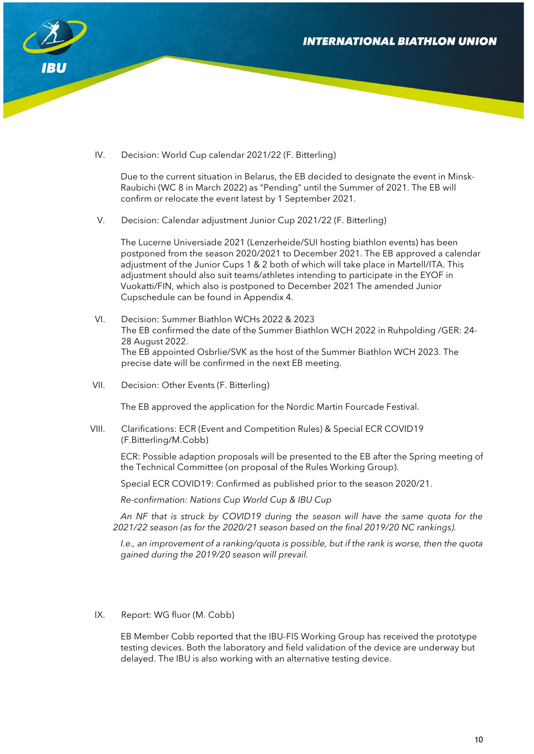

IV. Decision: World Cup calendar 2021/22 (F. Bitterling)

Due to the current situation in Belarus, the EB decided to designate the event in Minsk-Raubichi (WC 8 in March 2022) as "Pending" until the Summer of 2021. The EB will confirm or relocate the event latest by 1 September 2021.

V. Decision: Calendar adjustment Junior Cup 2021/22 (F. Bitterling)

The Lucerne Universiade 2021 (Lenzerheide/SUI hosting biathlon events) has been postponed from the season 2020/2021 to December 2021. The EB approved a calendar adjustment of the Junior Cups 1 & 2 both of which will take place in Martell/ITA. This adjustment should also suit teams/athletes intending to participate in the EYOF in Vuokatti/FIN, which also is postponed to December 2021 The amended Junior Cupschedule can be found in Appendix 4.

- VI. Decision: Summer Biathlon WCHs 2022 & 2023 The EB confirmed the date of the Summer Biathlon WCH 2022 in Ruhpolding /GER: 24- 28 August 2022. The EB appointed Osbrlie/SVK as the host of the Summer Biathlon WCH 2023. The precise date will be confirmed in the next EB meeting.
- VII. Decision: Other Events (F. Bitterling)

The EB approved the application for the Nordic Martin Fourcade Festival.

VIII. Clarifications: ECR (Event and Competition Rules) & Special ECR COVID19 (F.Bitterling/M.Cobb)

ECR: Possible adaption proposals will be presented to the EB after the Spring meeting of the Technical Committee (on proposal of the Rules Working Group).

Special ECR COVID19: Confirmed as published prior to the season 2020/21.

*Re-confirmation: Nations Cup World Cup & IBU Cup*

*An NF that is struck by COVID19 during the season will have the same quota for the 2021/22 season (as for the 2020/21 season based on the final 2019/20 NC rankings).* 

*I.e., an improvement of a ranking/quota is possible, but if the rank is worse, then the quota gained during the 2019/20 season will prevail.*

IX. Report: WG fluor (M. Cobb)

EB Member Cobb reported that the IBU-FIS Working Group has received the prototype testing devices. Both the laboratory and field validation of the device are underway but delayed. The IBU is also working with an alternative testing device.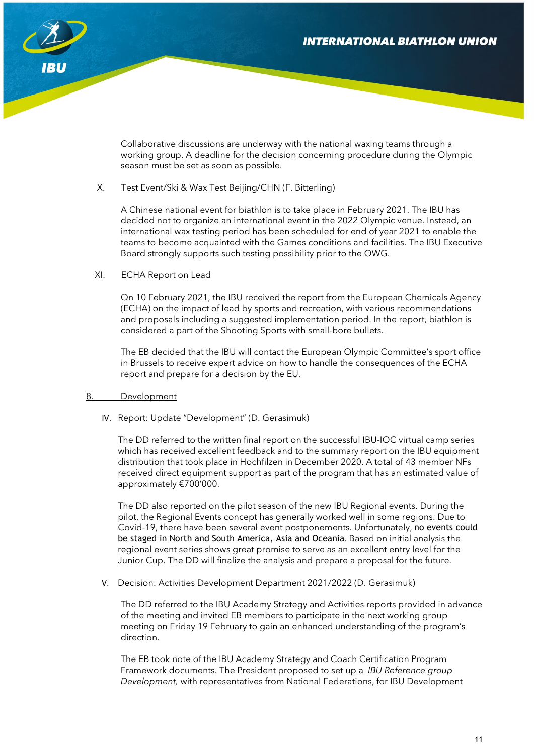

Collaborative discussions are underway with the national waxing teams through a working group. A deadline for the decision concerning procedure during the Olympic season must be set as soon as possible.

#### X. Test Event/Ski & Wax Test Beijing/CHN (F. Bitterling)

A Chinese national event for biathlon is to take place in February 2021. The IBU has decided not to organize an international event in the 2022 Olympic venue. Instead, an international wax testing period has been scheduled for end of year 2021 to enable the teams to become acquainted with the Games conditions and facilities. The IBU Executive Board strongly supports such testing possibility prior to the OWG.

XI. ECHA Report on Lead

On 10 February 2021, the IBU received the report from the European Chemicals Agency (ECHA) on the impact of lead by sports and recreation, with various recommendations and proposals including a suggested implementation period. In the report, biathlon is considered a part of the Shooting Sports with small-bore bullets.

The EB decided that the IBU will contact the European Olympic Committee's sport office in Brussels to receive expert advice on how to handle the consequences of the ECHA report and prepare for a decision by the EU.

#### 8. Development

IV. Report: Update "Development" (D. Gerasimuk)

The DD referred to the written final report on the successful IBU-IOC virtual camp series which has received excellent feedback and to the summary report on the IBU equipment distribution that took place in Hochfilzen in December 2020. A total of 43 member NFs received direct equipment support as part of the program that has an estimated value of approximately €700'000.

The DD also reported on the pilot season of the new IBU Regional events. During the pilot, the Regional Events concept has generally worked well in some regions. Due to Covid-19, there have been several event postponements. Unfortunately, no events could be staged in North and South America, Asia and Oceania. Based on initial analysis the regional event series shows great promise to serve as an excellent entry level for the Junior Cup. The DD will finalize the analysis and prepare a proposal for the future.

V. Decision: Activities Development Department 2021/2022 (D. Gerasimuk)

The DD referred to the IBU Academy Strategy and Activities reports provided in advance of the meeting and invited EB members to participate in the next working group meeting on Friday 19 February to gain an enhanced understanding of the program's direction.

The EB took note of the IBU Academy Strategy and Coach Certification Program Framework documents. The President proposed to set up a *IBU Reference group Development,* with representatives from National Federations, for IBU Development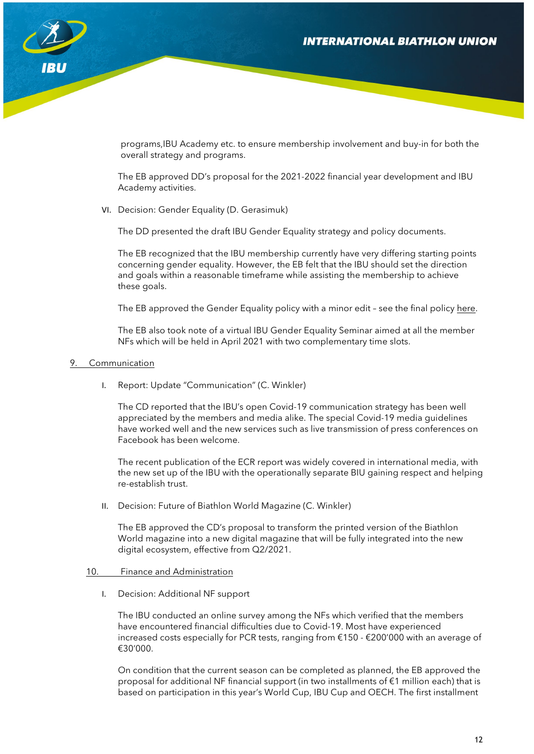

programs,IBU Academy etc. to ensure membership involvement and buy-in for both the overall strategy and programs.

The EB approved DD's proposal for the 2021-2022 financial year development and IBU Academy activities.

VI. Decision: Gender Equality (D. Gerasimuk)

The DD presented the draft IBU Gender Equality strategy and policy documents.

The EB recognized that the IBU membership currently have very differing starting points concerning gender equality. However, the EB felt that the IBU should set the direction and goals within a reasonable timeframe while assisting the membership to achieve these goals.

The EB approved the Gender Equality policy with a minor edit – see the final policy [here.](https://biathlonworld.us17.list-manage.com/track/click?u=7f45e6b3c272945677674fc76&id=8c2dc817df&e=4902e82bfd)

The EB also took note of a virtual IBU Gender Equality Seminar aimed at all the member NFs which will be held in April 2021 with two complementary time slots.

#### 9. Communication

I. Report: Update "Communication" (C. Winkler)

The CD reported that the IBU's open Covid-19 communication strategy has been well appreciated by the members and media alike. The special Covid-19 media guidelines have worked well and the new services such as live transmission of press conferences on Facebook has been welcome.

The recent publication of the ECR report was widely covered in international media, with the new set up of the IBU with the operationally separate BIU gaining respect and helping re-establish trust.

II. Decision: Future of Biathlon World Magazine (C. Winkler)

The EB approved the CD's proposal to transform the printed version of the Biathlon World magazine into a new digital magazine that will be fully integrated into the new digital ecosystem, effective from Q2/2021.

#### 10. Finance and Administration

I. Decision: Additional NF support

The IBU conducted an online survey among the NFs which verified that the members have encountered financial difficulties due to Covid-19. Most have experienced increased costs especially for PCR tests, ranging from €150 - €200'000 with an average of €30'000.

On condition that the current season can be completed as planned, the EB approved the proposal for additional NF financial support (in two installments of €1 million each) that is based on participation in this year's World Cup, IBU Cup and OECH. The first installment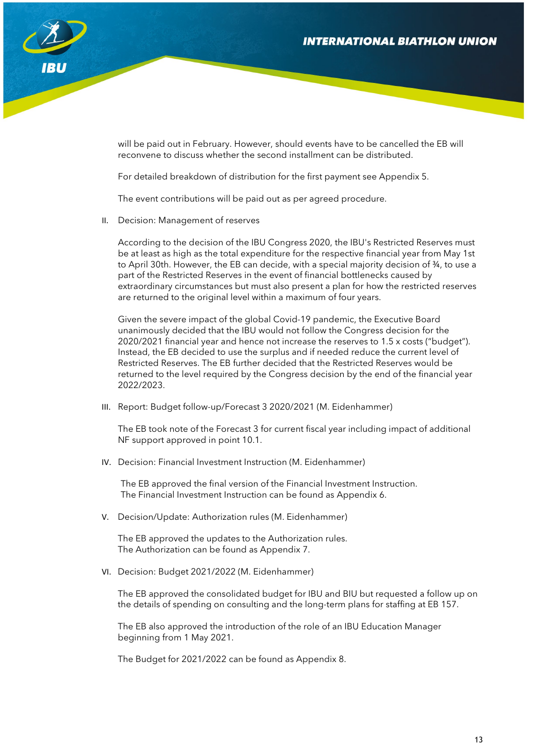

will be paid out in February. However, should events have to be cancelled the EB will reconvene to discuss whether the second installment can be distributed.

For detailed breakdown of distribution for the first payment see Appendix 5.

The event contributions will be paid out as per agreed procedure.

II. Decision: Management of reserves

According to the decision of the IBU Congress 2020, the IBU's Restricted Reserves must be at least as high as the total expenditure for the respective financial year from May 1st to April 30th. However, the EB can decide, with a special majority decision of ¾, to use a part of the Restricted Reserves in the event of financial bottlenecks caused by extraordinary circumstances but must also present a plan for how the restricted reserves are returned to the original level within a maximum of four years.

Given the severe impact of the global Covid-19 pandemic, the Executive Board unanimously decided that the IBU would not follow the Congress decision for the 2020/2021 financial year and hence not increase the reserves to 1.5 x costs ("budget"). Instead, the EB decided to use the surplus and if needed reduce the current level of Restricted Reserves. The EB further decided that the Restricted Reserves would be returned to the level required by the Congress decision by the end of the financial year 2022/2023.

III. Report: Budget follow-up/Forecast 3 2020/2021 (M. Eidenhammer)

The EB took note of the Forecast 3 for current fiscal year including impact of additional NF support approved in point 10.1.

IV. Decision: Financial Investment Instruction (M. Eidenhammer)

The EB approved the final version of the Financial Investment Instruction. The Financial Investment Instruction can be found as Appendix 6.

V. Decision/Update: Authorization rules (M. Eidenhammer)

The EB approved the updates to the Authorization rules. The Authorization can be found as Appendix 7.

VI. Decision: Budget 2021/2022 (M. Eidenhammer)

The EB approved the consolidated budget for IBU and BIU but requested a follow up on the details of spending on consulting and the long-term plans for staffing at EB 157.

The EB also approved the introduction of the role of an IBU Education Manager beginning from 1 May 2021.

The Budget for 2021/2022 can be found as Appendix 8.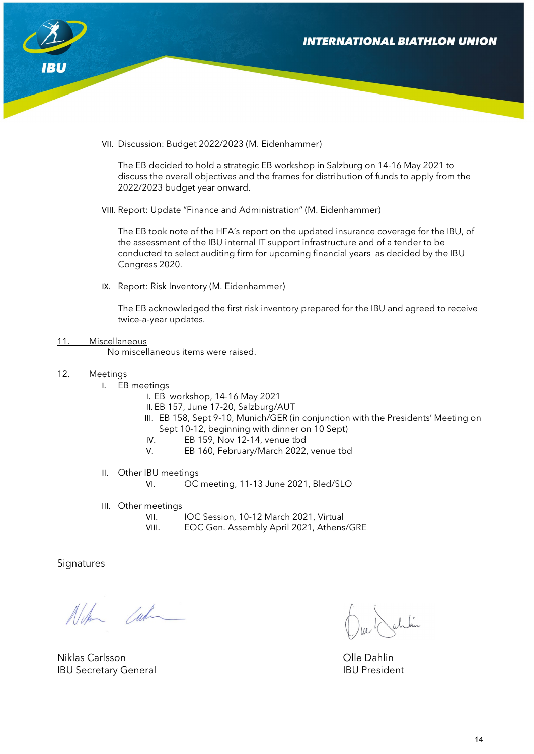

VII. Discussion: Budget 2022/2023 (M. Eidenhammer)

The EB decided to hold a strategic EB workshop in Salzburg on 14-16 May 2021 to discuss the overall objectives and the frames for distribution of funds to apply from the 2022/2023 budget year onward.

VIII. Report: Update "Finance and Administration" (M. Eidenhammer)

The EB took note of the HFA's report on the updated insurance coverage for the IBU, of the assessment of the IBU internal IT support infrastructure and of a tender to be conducted to select auditing firm for upcoming financial years as decided by the IBU Congress 2020.

IX. Report: Risk Inventory (M. Eidenhammer)

The EB acknowledged the first risk inventory prepared for the IBU and agreed to receive twice-a-year updates.

11. Miscellaneous

No miscellaneous items were raised.

- 12. Meetings
	- I. EB meetings
		- I. EB workshop, 14-16 May 2021
		- II.EB 157, June 17-20, Salzburg/AUT
		- III. EB 158, Sept 9-10, Munich/GER (in conjunction with the Presidents' Meeting on Sept 10-12, beginning with dinner on 10 Sept)
		- IV. EB 159, Nov 12-14, venue tbd
		- V. EB 160, February/March 2022, venue tbd
	- II. Other IBU meetings VI. OC meeting, 11-13 June 2021, Bled/SLO
	- III. Other meetings
		- VII. IOC Session, 10-12 March 2021, Virtual
		- VIII. EOC Gen. Assembly April 2021, Athens/GRE

**Signatures** 

Althe Cur

Niklas Carlsson Olle Dahlin IBU Secretary General **IBU President**